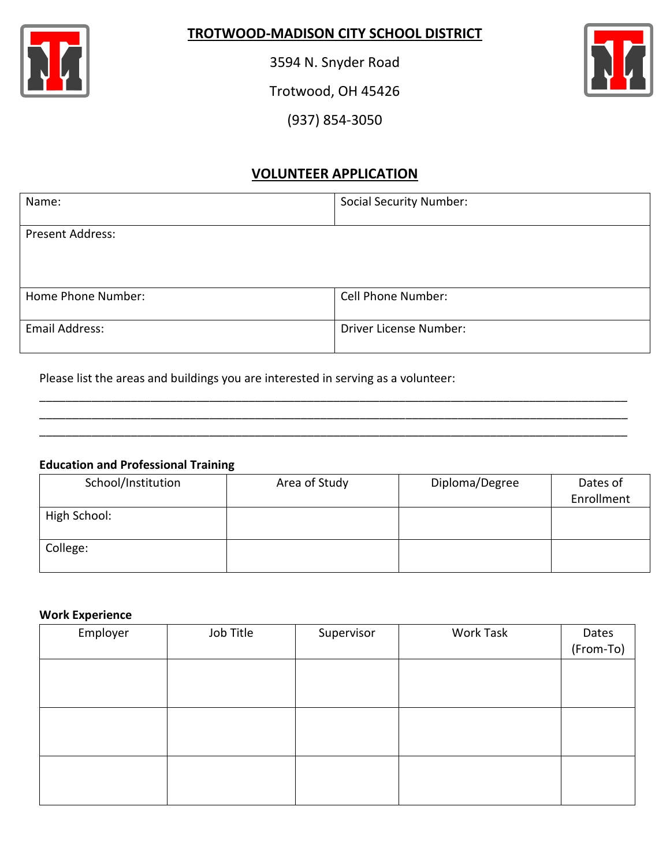

## **TROTWOOD-MADISON CITY SCHOOL DISTRICT**

3594 N. Snyder Road

Trotwood, OH 45426



(937) 854-3050

# **VOLUNTEER APPLICATION**

| Name:              | <b>Social Security Number:</b> |
|--------------------|--------------------------------|
| Present Address:   |                                |
|                    |                                |
| Home Phone Number: | <b>Cell Phone Number:</b>      |
| Email Address:     | Driver License Number:         |

\_\_\_\_\_\_\_\_\_\_\_\_\_\_\_\_\_\_\_\_\_\_\_\_\_\_\_\_\_\_\_\_\_\_\_\_\_\_\_\_\_\_\_\_\_\_\_\_\_\_\_\_\_\_\_\_\_\_\_\_\_\_\_\_\_\_\_\_\_\_\_\_\_\_\_\_\_\_\_\_\_\_\_\_\_\_\_\_\_\_ \_\_\_\_\_\_\_\_\_\_\_\_\_\_\_\_\_\_\_\_\_\_\_\_\_\_\_\_\_\_\_\_\_\_\_\_\_\_\_\_\_\_\_\_\_\_\_\_\_\_\_\_\_\_\_\_\_\_\_\_\_\_\_\_\_\_\_\_\_\_\_\_\_\_\_\_\_\_\_\_\_\_\_\_\_\_\_\_\_\_ \_\_\_\_\_\_\_\_\_\_\_\_\_\_\_\_\_\_\_\_\_\_\_\_\_\_\_\_\_\_\_\_\_\_\_\_\_\_\_\_\_\_\_\_\_\_\_\_\_\_\_\_\_\_\_\_\_\_\_\_\_\_\_\_\_\_\_\_\_\_\_\_\_\_\_\_\_\_\_\_\_\_\_\_\_\_\_\_\_\_

Please list the areas and buildings you are interested in serving as a volunteer:

### **Education and Professional Training**

| School/Institution | Area of Study | Diploma/Degree | Dates of   |
|--------------------|---------------|----------------|------------|
|                    |               |                | Enrollment |
| High School:       |               |                |            |
|                    |               |                |            |
| College:           |               |                |            |
|                    |               |                |            |

### **Work Experience**

| Employer | Job Title | Supervisor | Work Task | Dates     |
|----------|-----------|------------|-----------|-----------|
|          |           |            |           | (From-To) |
|          |           |            |           |           |
|          |           |            |           |           |
|          |           |            |           |           |
|          |           |            |           |           |
|          |           |            |           |           |
|          |           |            |           |           |
|          |           |            |           |           |
|          |           |            |           |           |
|          |           |            |           |           |